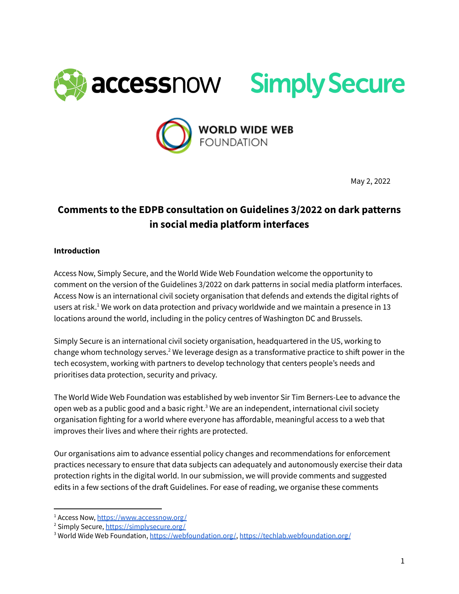





May 2, 2022

# **Comments to the EDPB consultation on Guidelines 3/2022 on dark patterns in social media platform interfaces**

### **Introduction**

Access Now, Simply Secure, and the World Wide Web Foundation welcome the opportunity to comment on the version of the Guidelines 3/2022 on dark patterns in social media platform interfaces. Access Now is an international civil society organisation that defends and extends the digital rights of users at risk. $^1$  We work on data protection and privacy worldwide and we maintain a presence in 13 locations around the world, including in the policy centres of Washington DC and Brussels.

Simply Secure is an international civil society organisation, headquartered in the US, working to change whom technology serves. $2$  We leverage design as a transformative practice to shift power in the tech ecosystem, working with partners to develop technology that centers people's needs and prioritises data protection, security and privacy.

The World Wide Web Foundation was established by web inventor Sir Tim Berners-Lee to advance the open web as a public good and a basic right.<sup>3</sup> We are an independent, international civil society organisation fighting for a world where everyone has affordable, meaningful access to a web that improves their lives and where their rights are protected.

Our organisations aim to advance essential policy changes and recommendations for enforcement practices necessary to ensure that data subjects can adequately and autonomously exercise their data protection rights in the digital world. In our submission, we will provide comments and suggested edits in a few sections of the draft Guidelines. For ease of reading, we organise these comments

<sup>&</sup>lt;sup>1</sup> Access Now, <https://www.accessnow.org/>

<sup>&</sup>lt;sup>2</sup> Simply Secure, <https://simplysecure.org/>

<sup>&</sup>lt;sup>3</sup> World Wide Web Foundation, <https://webfoundation.org/>, <https://techlab.webfoundation.org/>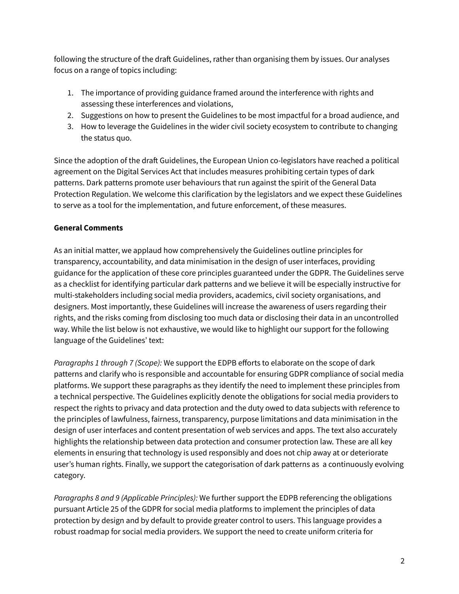following the structure of the draft Guidelines, rather than organising them by issues. Our analyses focus on a range of topics including:

- 1. The importance of providing guidance framed around the interference with rights and assessing these interferences and violations,
- 2. Suggestions on how to present the Guidelines to be most impactful for a broad audience, and
- 3. How to leverage the Guidelines in the wider civil society ecosystem to contribute to changing the status quo.

Since the adoption of the draft Guidelines, the European Union co-legislators have reached a political agreement on the Digital Services Act that includes measures prohibiting certain types of dark patterns. Dark patterns promote user behaviours that run against the spirit of the General Data Protection Regulation. We welcome this clarification by the legislators and we expect these Guidelines to serve as a tool for the implementation, and future enforcement, of these measures.

## **General Comments**

As an initial matter, we applaud how comprehensively the Guidelines outline principles for transparency, accountability, and data minimisation in the design of user interfaces, providing guidance for the application of these core principles guaranteed under the GDPR. The Guidelines serve as a checklist for identifying particular dark patterns and we believe it will be especially instructive for multi-stakeholders including social media providers, academics, civil society organisations, and designers. Most importantly, these Guidelines will increase the awareness of users regarding their rights, and the risks coming from disclosing too much data or disclosing their data in an uncontrolled way. While the list below is not exhaustive, we would like to highlight our support for the following language of the Guidelines' text:

*Paragraphs 1 through 7 (Scope):* We support the EDPB efforts to elaborate on the scope of dark patterns and clarify who is responsible and accountable for ensuring GDPR compliance of social media platforms. We support these paragraphs as they identify the need to implement these principles from a technical perspective. The Guidelines explicitly denote the obligations for social media providers to respect the rights to privacy and data protection and the duty owed to data subjects with reference to the principles of lawfulness, fairness, transparency, purpose limitations and data minimisation in the design of user interfaces and content presentation of web services and apps. The text also accurately highlights the relationship between data protection and consumer protection law. These are all key elements in ensuring that technology is used responsibly and does not chip away at or deteriorate user's human rights. Finally, we support the categorisation of dark patterns as a continuously evolving category.

*Paragraphs 8 and 9 (Applicable Principles):* We further support the EDPB referencing the obligations pursuant Article 25 of the GDPR for social media platforms to implement the principles of data protection by design and by default to provide greater control to users. This language provides a robust roadmap for social media providers. We support the need to create uniform criteria for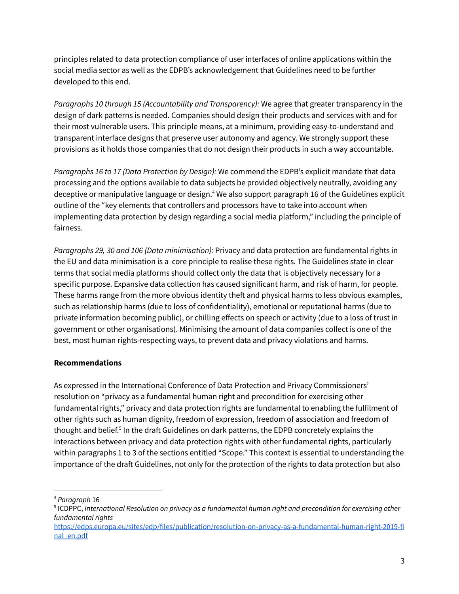principles related to data protection compliance of user interfaces of online applications within the social media sector as well as the EDPB's acknowledgement that Guidelines need to be further developed to this end.

*Paragraphs 10 through 15 (Accountability and Transparency):* We agree that greater transparency in the design of dark patterns is needed. Companies should design their products and services with and for their most vulnerable users. This principle means, at a minimum, providing easy-to-understand and transparent interface designs that preserve user autonomy and agency. We strongly support these provisions as it holds those companies that do not design their products in such a way accountable.

*Paragraphs 16 to 17 (Data Protection by Design):* We commend the EDPB's explicit mandate that data processing and the options available to data subjects be provided objectively neutrally, avoiding any deceptive or manipulative language or design.<sup>4</sup> We also support paragraph 16 of the Guidelines explicit outline of the "key elements that controllers and processors have to take into account when implementing data protection by design regarding a social media platform," including the principle of fairness.

*Paragraphs 29, 30 and 106 (Data minimisation):* Privacy and data protection are fundamental rights in the EU and data minimisation is a core principle to realise these rights. The Guidelines state in clear terms that social media platforms should collect only the data that is objectively necessary for a specific purpose. Expansive data collection has caused significant harm, and risk of harm, for people. These harms range from the more obvious identity theft and physical harms to less obvious examples, such as relationship harms (due to loss of confidentiality), emotional or reputational harms (due to private information becoming public), or chilling effects on speech or activity (due to a loss of trust in government or other organisations). Minimising the amount of data companies collect is one of the best, most human rights-respecting ways, to prevent data and privacy violations and harms.

## **Recommendations**

As expressed in the International Conference of Data Protection and Privacy Commissioners' resolution on "privacy as a fundamental human right and precondition for exercising other fundamental rights," privacy and data protection rights are fundamental to enabling the fulfilment of other rights such as human dignity, freedom of expression, freedom of association and freedom of thought and belief.<sup>5</sup> In the draft Guidelines on dark patterns, the EDPB concretely explains the interactions between privacy and data protection rights with other fundamental rights, particularly within paragraphs 1 to 3 of the sections entitled "Scope." This context is essential to understanding the importance of the draft Guidelines, not only for the protection of the rights to data protection but also

<sup>4</sup> *Paragraph* 16

<sup>5</sup> ICDPPC, *International Resolution on privacy as a fundamental human right and precondition for exercising other fundamental rights*

[https://edps.europa.eu/sites/edp/files/publication/resolution-on-privacy-as-a-fundamental-human-right-2019-fi](https://edps.europa.eu/sites/edp/files/publication/resolution-on-privacy-as-a-fundamental-human-right-2019-final_en.pdf) [nal\\_en.pdf](https://edps.europa.eu/sites/edp/files/publication/resolution-on-privacy-as-a-fundamental-human-right-2019-final_en.pdf)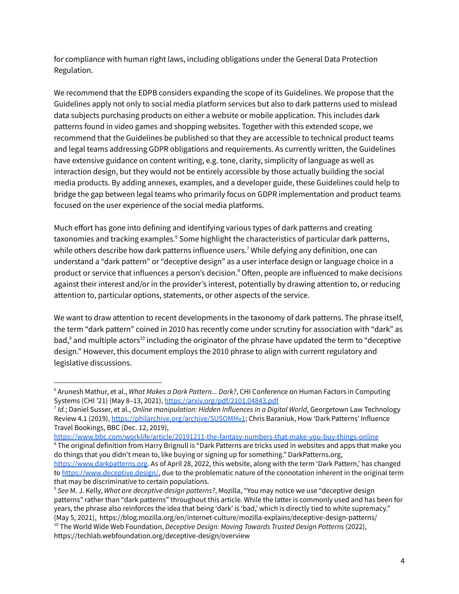for compliance with human right laws, including obligations under the General Data Protection Regulation.

We recommend that the EDPB considers expanding the scope of its Guidelines. We propose that the Guidelines apply not only to social media platform services but also to dark patterns used to mislead data subjects purchasing products on either a website or mobile application. This includes dark patterns found in video games and shopping websites. Together with this extended scope, we recommend that the Guidelines be published so that they are accessible to technical product teams and legal teams addressing GDPR obligations and requirements. As currently written, the Guidelines have extensive guidance on content writing, e.g. tone, clarity, simplicity of language as well as interaction design, but they would not be entirely accessible by those actually building the social media products. By adding annexes, examples, and a developer guide, these Guidelines could help to bridge the gap between legal teams who primarily focus on GDPR implementation and product teams focused on the user experience of the social media platforms.

Much effort has gone into defining and identifying various types of dark patterns and creating taxonomies and tracking examples.<sup>6</sup> Some highlight the characteristics of particular dark patterns, while others describe how dark patterns influence users.<sup>7</sup> While defying any definition, one can understand a "dark pattern" or "deceptive design" as a user interface design or language choice in a product or service that influences a person's decision.<sup>8</sup> Often, people are influenced to make decisions against their interest and/or in the provider's interest, potentially by drawing attention to, or reducing attention to, particular options, statements, or other aspects of the service.

We want to draw attention to recent developments in the taxonomy of dark patterns. The phrase itself, the term "dark pattern" coined in 2010 has recently come under scrutiny for association with "dark" as bad, $9$  and multiple actors $^{10}$  including the originator of the phrase have updated the term to "deceptive design." However, this document employs the 2010 phrase to align with current regulatory and legislative discussions.

<sup>6</sup> Arunesh Mathur, et al., *What Makes a Dark Pattern... Dark?*, CHI Conference on Human Factors in Computing Systems (CHI '21) (May 8–13, 2021), <https://arxiv.org/pdf/2101.04843.pdf>

<sup>7</sup> *Id.*; Daniel Susser, et al., *Online manipulation: Hidden Influences in a Digital World*, Georgetown Law Technology Review 4.1 (2019), <https://philarchive.org/archive/SUSOMHv1>; Chris Baraniuk, How 'Dark Patterns' Influence Travel Bookings, BBC (Dec. 12, 2019),

<https://www.bbc.com/worklife/article/20191211-the-fantasy-numbers-that-make-you-buy-things-online>

<sup>&</sup>lt;sup>8</sup> The original definition from Harry Brignull is "Dark Patterns are tricks used in websites and apps that make you do things that you didn't mean to, like buying or signing up for something." DarkPatterns.org, [https://www.darkpatterns.org.](https://www.darkpatterns.org) As of April 28, 2022, this website, along with the term 'Dark Pattern,' has changed

to [https://www.deceptive.design/,](https://www.deceptive.design/) due to the problematic nature of the connotation inherent in the original term that may be discriminative to certain populations.

<sup>10</sup> The World Wide Web Foundation, *Deceptive Design: Moving Towards Trusted Design Patterns* (2022), https://techlab.webfoundation.org/deceptive-design/overview *<sup>9</sup> See* M. J. Kelly, *What are deceptive design patterns?*, Mozilla, "You may notice we use "deceptive design patterns" rather than "dark patterns" throughout this article. While the latter is commonly used and has been for years, the phrase also reinforces the idea that being 'dark' is 'bad,' which is directly tied to white supremacy." (May 5, 2021), https://blog.mozilla.org/en/internet-culture/mozilla-explains/deceptive-design-patterns/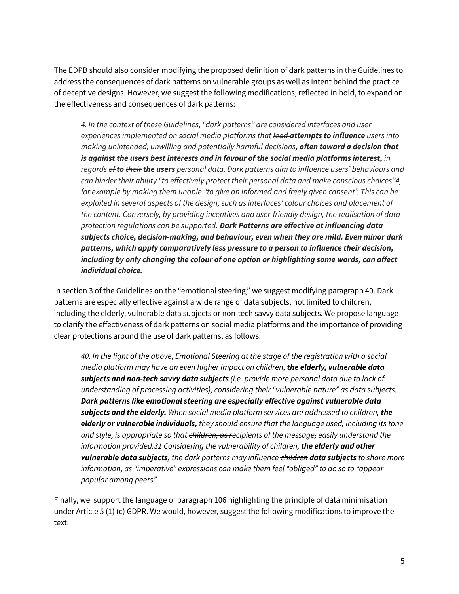The EDPB should also consider modifying the proposed definition of dark patterns in the Guidelines to address the consequences of dark patterns on vulnerable groups as well as intent behind the practice of deceptive designs. However, we suggest the following modifications, reflected in bold, to expand on the effectiveness and consequences of dark patterns:

*4. In the context of these Guidelines, "dark patterns" are considered interfaces and user experiences implemented on social media platforms that lead attempts to influence users into making unintended, unwilling and potentially harmful decisions, often toward a decision that is against the users best interests and in favour of the social media platforms interest, in regards of to their the users personal data. Dark patterns aim to influence users' behaviours and can hinder their ability "to effectively protect their personal data and make conscious choices"4, for example by making them unable "to give an informed and freely given consent". This can be exploited in several aspects of the design, such as interfaces' colour choices and placement of the content. Conversely, by providing incentives and user-friendly design, the realisation of data protection regulations can be supported. Dark Patterns are effective at influencing data subjects choice, decision-making, and behaviour, even when they are mild. Even minor dark patterns, which apply comparatively less pressure to a person to influence their decision, including by only changing the colour of one option or highlighting some words, can affect individual choice.*

In section 3 of the Guidelines on the "emotional steering," we suggest modifying paragraph 40. Dark patterns are especially effective against a wide range of data subjects, not limited to children, including the elderly, vulnerable data subjects or non-tech savvy data subjects. We propose language to clarify the effectiveness of dark patterns on social media platforms and the importance of providing clear protections around the use of dark patterns, as follows:

*40. In the light of the above, Emotional Steering at the stage of the registration with a social media platform may have an even higher impact on children, the elderly, vulnerable data subjects and non-tech savvy data subjects (i.e. provide more personal data due to lack of understanding of processing activities), considering their "vulnerable nature" as data subjects. Dark patterns like emotional steering are especially effective against vulnerable data subjects and the elderly. When social media platform services are addressed to children, the elderly or vulnerable individuals, they should ensure that the language used, including its tone and style, is appropriate so that children, as recipients of the message, easily understand the information provided.31 Considering the vulnerability of children, the elderly and other vulnerable data subjects, the dark patterns may influence children data subjects to share more information, as "imperative" expressions can make them feel "obliged" to do so to "appear popular among peers".*

Finally, we support the language of paragraph 106 highlighting the principle of data minimisation under Article 5 (1) (c) GDPR. We would, however, suggest the following modifications to improve the text: